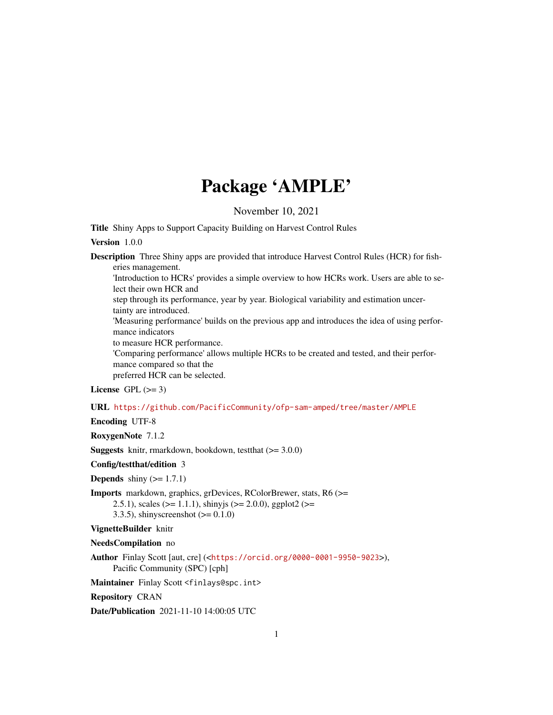## Package 'AMPLE'

November 10, 2021

Title Shiny Apps to Support Capacity Building on Harvest Control Rules

#### Version 1.0.0

Description Three Shiny apps are provided that introduce Harvest Control Rules (HCR) for fisheries management.

'Introduction to HCRs' provides a simple overview to how HCRs work. Users are able to select their own HCR and

step through its performance, year by year. Biological variability and estimation uncertainty are introduced.

'Measuring performance' builds on the previous app and introduces the idea of using performance indicators

to measure HCR performance.

'Comparing performance' allows multiple HCRs to be created and tested, and their performance compared so that the preferred HCR can be selected.

License GPL  $(>= 3)$ 

#### URL <https://github.com/PacificCommunity/ofp-sam-amped/tree/master/AMPLE>

Encoding UTF-8

RoxygenNote 7.1.2

**Suggests** knitr, rmarkdown, bookdown, test that  $(>= 3.0.0)$ 

Config/testthat/edition 3

**Depends** shiny  $(>= 1.7.1)$ 

Imports markdown, graphics, grDevices, RColorBrewer, stats, R6 (>= 2.5.1), scales ( $>= 1.1.1$ ), shinyjs ( $>= 2.0.0$ ), ggplot2 ( $>= 2.5.1$ ) 3.3.5), shinyscreenshot  $(>= 0.1.0)$ 

#### VignetteBuilder knitr

NeedsCompilation no

Author Finlay Scott [aut, cre] (<<https://orcid.org/0000-0001-9950-9023>>), Pacific Community (SPC) [cph]

Maintainer Finlay Scott <finlays@spc.int>

Repository CRAN

Date/Publication 2021-11-10 14:00:05 UTC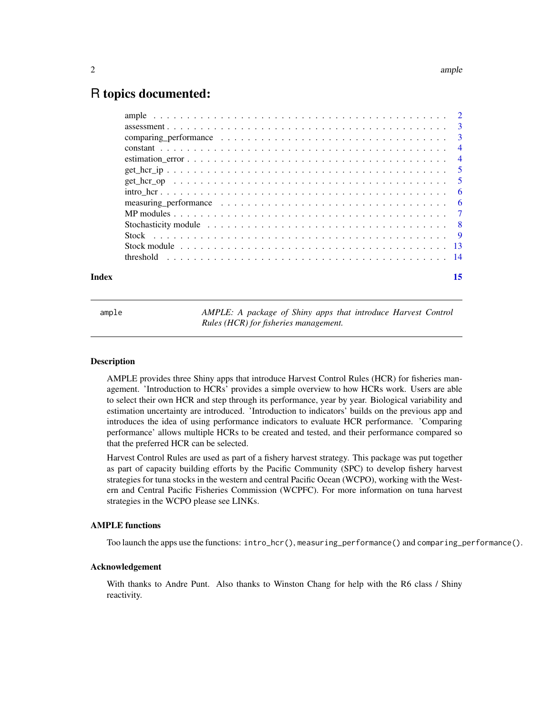### <span id="page-1-0"></span>R topics documented:

| Stock module $\ldots \ldots \ldots \ldots \ldots \ldots \ldots \ldots \ldots \ldots \ldots \ldots \ldots$ |  |  |  |  |  |  |  |  |  |  |  |  |  |  |  |
|-----------------------------------------------------------------------------------------------------------|--|--|--|--|--|--|--|--|--|--|--|--|--|--|--|
|                                                                                                           |  |  |  |  |  |  |  |  |  |  |  |  |  |  |  |

ample *AMPLE: A package of Shiny apps that introduce Harvest Control Rules (HCR) for fisheries management.*

#### Description

AMPLE provides three Shiny apps that introduce Harvest Control Rules (HCR) for fisheries management. 'Introduction to HCRs' provides a simple overview to how HCRs work. Users are able to select their own HCR and step through its performance, year by year. Biological variability and estimation uncertainty are introduced. 'Introduction to indicators' builds on the previous app and introduces the idea of using performance indicators to evaluate HCR performance. 'Comparing performance' allows multiple HCRs to be created and tested, and their performance compared so that the preferred HCR can be selected.

Harvest Control Rules are used as part of a fishery harvest strategy. This package was put together as part of capacity building efforts by the Pacific Community (SPC) to develop fishery harvest strategies for tuna stocks in the western and central Pacific Ocean (WCPO), working with the Western and Central Pacific Fisheries Commission (WCPFC). For more information on tuna harvest strategies in the WCPO please see LINKs.

#### AMPLE functions

Too launch the apps use the functions: intro\_hcr(), measuring\_performance() and comparing\_performance().

#### Acknowledgement

With thanks to Andre Punt. Also thanks to Winston Chang for help with the R6 class / Shiny reactivity.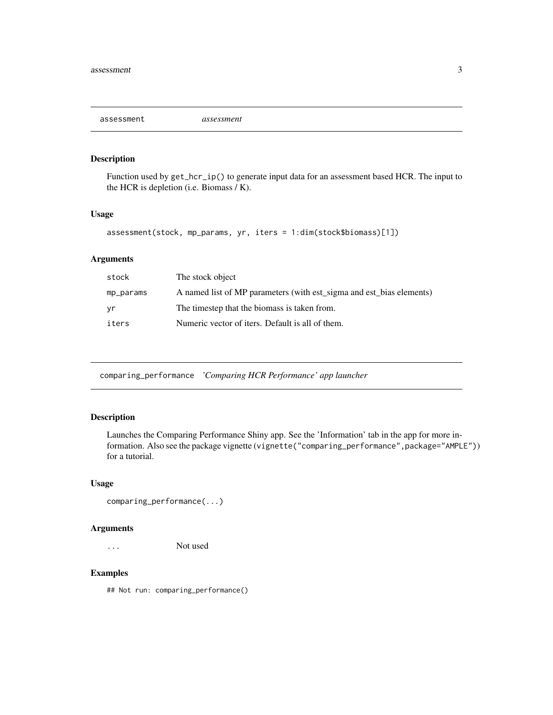<span id="page-2-0"></span>assessment *assessment*

#### Description

Function used by  $get\_hcr\_ip()$  to generate input data for an assessment based HCR. The input to the HCR is depletion (i.e. Biomass / K).

#### Usage

```
assessment(stock, mp_params, yr, iters = 1:dim(stock$biomass)[1])
```
#### Arguments

| stock     | The stock object                                                     |
|-----------|----------------------------------------------------------------------|
| mp_params | A named list of MP parameters (with est sigma and est bias elements) |
| yr        | The timestep that the biomass is taken from.                         |
| iters     | Numeric vector of iters. Default is all of them.                     |

comparing\_performance *'Comparing HCR Performance' app launcher*

#### Description

Launches the Comparing Performance Shiny app. See the 'Information' tab in the app for more information. Also see the package vignette (vignette("comparing\_performance",package="AMPLE")) for a tutorial.

#### Usage

```
comparing_performance(...)
```
#### Arguments

... Not used

#### Examples

## Not run: comparing\_performance()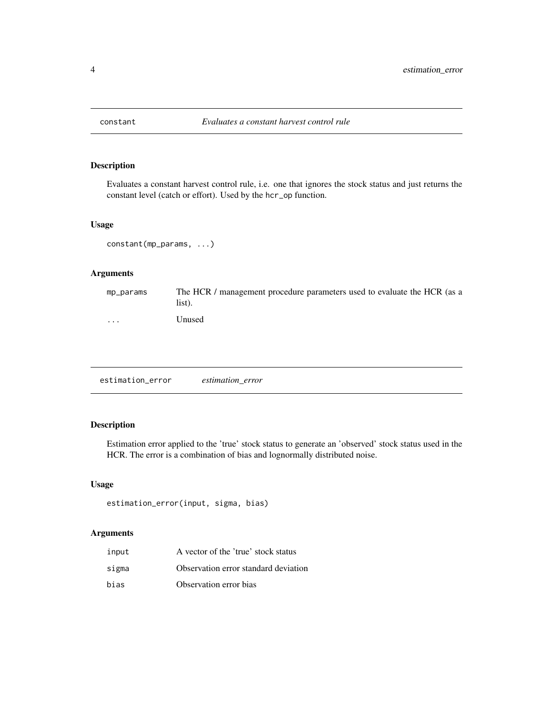<span id="page-3-0"></span>

Evaluates a constant harvest control rule, i.e. one that ignores the stock status and just returns the constant level (catch or effort). Used by the hcr\_op function.

#### Usage

constant(mp\_params, ...)

#### Arguments

| mp_params | The HCR / management procedure parameters used to evaluate the HCR (as a<br>list). |
|-----------|------------------------------------------------------------------------------------|
| $\cdots$  | Unused                                                                             |

estimation\_error *estimation\_error*

#### Description

Estimation error applied to the 'true' stock status to generate an 'observed' stock status used in the HCR. The error is a combination of bias and lognormally distributed noise.

#### Usage

```
estimation_error(input, sigma, bias)
```
#### Arguments

| input | A vector of the 'true' stock status  |
|-------|--------------------------------------|
| sigma | Observation error standard deviation |
| bias  | Observation error bias               |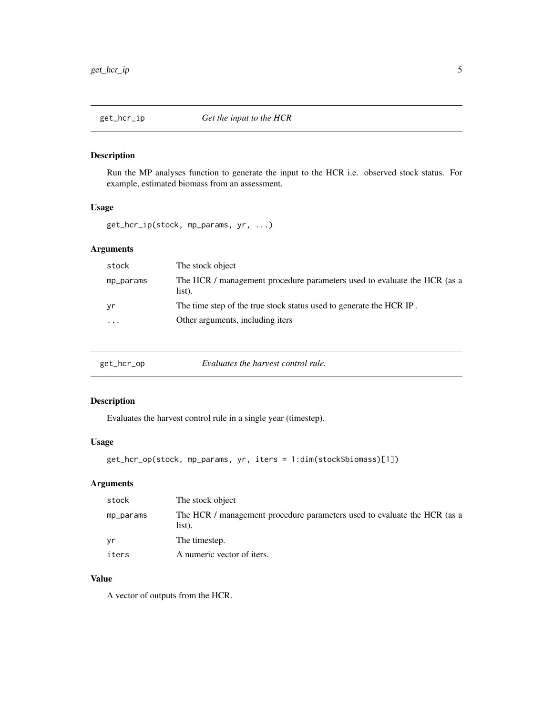<span id="page-4-0"></span>

Run the MP analyses function to generate the input to the HCR i.e. observed stock status. For example, estimated biomass from an assessment.

#### Usage

get\_hcr\_ip(stock, mp\_params, yr, ...)

#### Arguments

| stock                   | The stock object                                                                   |
|-------------------------|------------------------------------------------------------------------------------|
| mp_params               | The HCR / management procedure parameters used to evaluate the HCR (as a<br>list). |
| yr                      | The time step of the true stock status used to generate the HCR IP.                |
| $\cdot$ $\cdot$ $\cdot$ | Other arguments, including iters                                                   |
|                         |                                                                                    |

| get_hcr_op | Evaluates the harvest control rule. |  |
|------------|-------------------------------------|--|
|------------|-------------------------------------|--|

#### Description

Evaluates the harvest control rule in a single year (timestep).

#### Usage

```
get_hcr_op(stock, mp_params, yr, iters = 1:dim(stock$biomass)[1])
```
#### Arguments

| stock     | The stock object                                                                   |
|-----------|------------------------------------------------------------------------------------|
| mp_params | The HCR / management procedure parameters used to evaluate the HCR (as a<br>list). |
| vr.       | The timestep.                                                                      |
| iters     | A numeric vector of iters.                                                         |

#### Value

A vector of outputs from the HCR.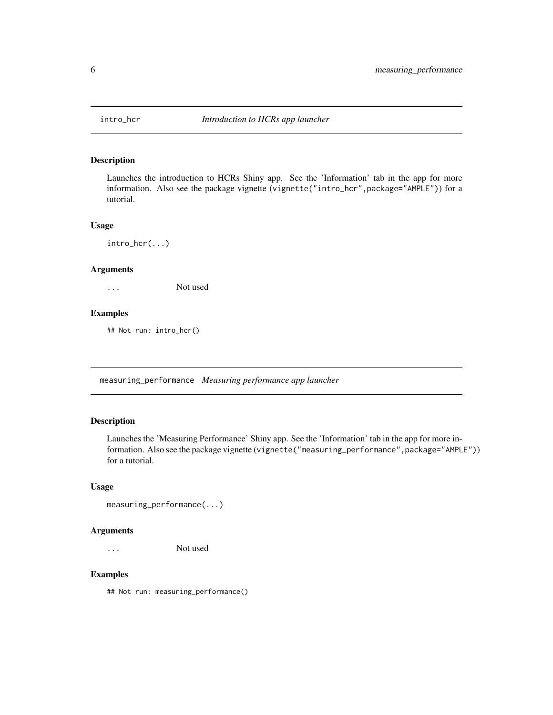<span id="page-5-0"></span>

Launches the introduction to HCRs Shiny app. See the 'Information' tab in the app for more information. Also see the package vignette (vignette("intro\_hcr",package="AMPLE")) for a tutorial.

#### Usage

intro\_hcr(...)

#### Arguments

... Not used

#### Examples

## Not run: intro\_hcr()

measuring\_performance *Measuring performance app launcher*

#### Description

Launches the 'Measuring Performance' Shiny app. See the 'Information' tab in the app for more information. Also see the package vignette (vignette ("measuring\_performance", package="AMPLE")) for a tutorial.

#### Usage

```
measuring_performance(...)
```
#### Arguments

... Not used

#### Examples

## Not run: measuring\_performance()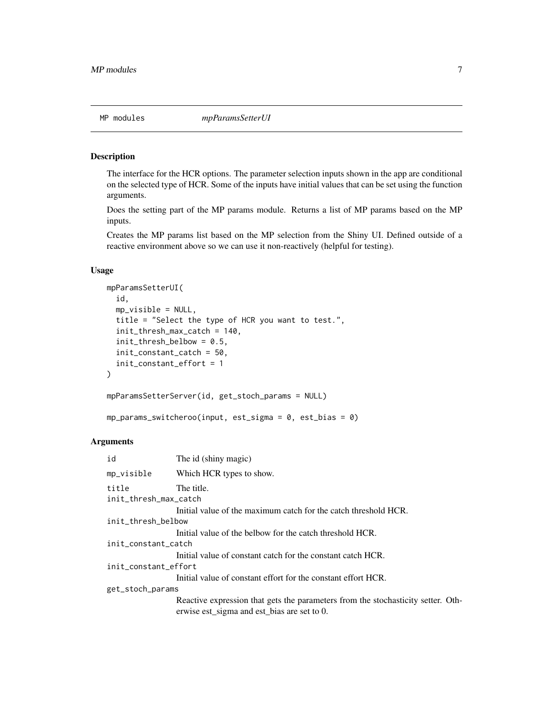<span id="page-6-0"></span>The interface for the HCR options. The parameter selection inputs shown in the app are conditional on the selected type of HCR. Some of the inputs have initial values that can be set using the function arguments.

Does the setting part of the MP params module. Returns a list of MP params based on the MP inputs.

Creates the MP params list based on the MP selection from the Shiny UI. Defined outside of a reactive environment above so we can use it non-reactively (helpful for testing).

#### Usage

```
mpParamsSetterUI(
  id,
  mp_visible = NULL,
  title = "Select the type of HCR you want to test.",
  init_thresh_max_catch = 140,
  init_thresh_belbow = 0.5,
  init_constant_catch = 50,
  init_constant_effort = 1
\lambdampParamsSetterServer(id, get_stoch_params = NULL)
```
mp\_params\_switcheroo(input, est\_sigma = 0, est\_bias = 0)

#### Arguments

| id                             | The id (shiny magic)                                                                                                            |
|--------------------------------|---------------------------------------------------------------------------------------------------------------------------------|
| mp_visible                     | Which HCR types to show.                                                                                                        |
| title<br>init_thresh_max_catch | The title.                                                                                                                      |
|                                | Initial value of the maximum catch for the catch threshold HCR.                                                                 |
| init_thresh_belbow             |                                                                                                                                 |
|                                | Initial value of the belbow for the catch threshold HCR.                                                                        |
| init_constant_catch            |                                                                                                                                 |
|                                | Initial value of constant catch for the constant catch HCR.                                                                     |
| init_constant_effort           |                                                                                                                                 |
|                                | Initial value of constant effort for the constant effort HCR.                                                                   |
| get_stoch_params               |                                                                                                                                 |
|                                | Reactive expression that gets the parameters from the stochasticity setter. Oth-<br>erwise est_sigma and est_bias are set to 0. |
|                                |                                                                                                                                 |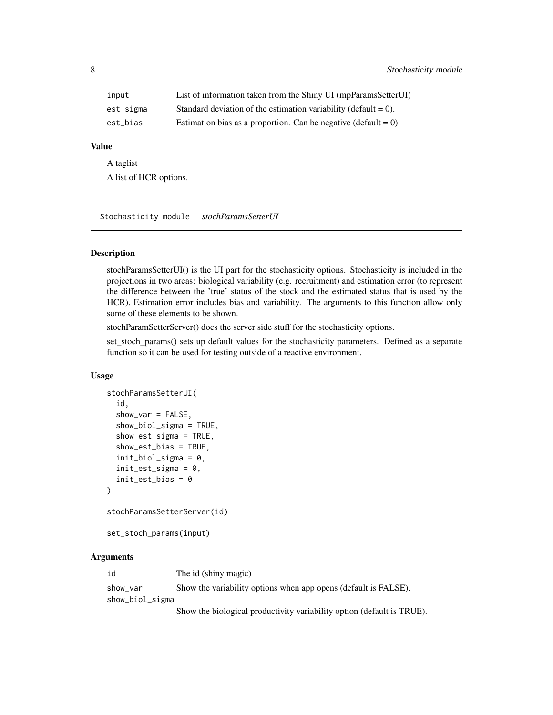<span id="page-7-0"></span>

| input     | List of information taken from the Shiny UI (mpParamsSetterUI)     |
|-----------|--------------------------------------------------------------------|
| est_sigma | Standard deviation of the estimation variability (default = $0$ ). |
| est bias  | Estimation bias as a proportion. Can be negative (default $= 0$ ). |

#### Value

A taglist A list of HCR options.

Stochasticity module *stochParamsSetterUI*

#### Description

stochParamsSetterUI() is the UI part for the stochasticity options. Stochasticity is included in the projections in two areas: biological variability (e.g. recruitment) and estimation error (to represent the difference between the 'true' status of the stock and the estimated status that is used by the HCR). Estimation error includes bias and variability. The arguments to this function allow only some of these elements to be shown.

stochParamSetterServer() does the server side stuff for the stochasticity options.

set\_stoch\_params() sets up default values for the stochasticity parameters. Defined as a separate function so it can be used for testing outside of a reactive environment.

#### Usage

```
stochParamsSetterUI(
  id,
  show\_var = FALSE,
  show_biol_sigma = TRUE,
  show_est_sigma = TRUE,
  show_est_bias = TRUE,
  init_biol_sigma = 0,
  init\_est\_sigma = 0,
  init_est_bias = 0
)
stochParamsSetterServer(id)
```
set\_stoch\_params(input)

#### Arguments

| id              | The id (shiny magic)                                                   |
|-----------------|------------------------------------------------------------------------|
| show var        | Show the variability options when app opens (default is FALSE).        |
| show_biol_sigma |                                                                        |
|                 | Show the biological productivity variability option (default is TRUE). |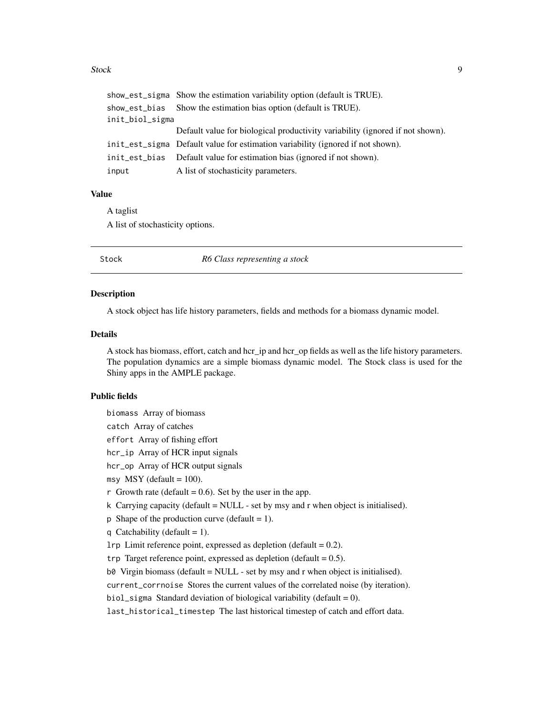#### <span id="page-8-0"></span>Stock 9

|                 | show_est_sigma Show the estimation variability option (default is TRUE).        |
|-----------------|---------------------------------------------------------------------------------|
|                 | show_est_bias Show the estimation bias option (default is TRUE).                |
| init_biol_sigma |                                                                                 |
|                 | Default value for biological productivity variability (ignored if not shown).   |
|                 | init_est_sigma Default value for estimation variability (ignored if not shown). |
|                 | init_est_bias Default value for estimation bias (ignored if not shown).         |
| input           | A list of stochasticity parameters.                                             |

#### Value

A taglist

A list of stochasticity options.

Stock *R6 Class representing a stock*

#### Description

A stock object has life history parameters, fields and methods for a biomass dynamic model.

#### Details

A stock has biomass, effort, catch and hcr\_ip and hcr\_op fields as well as the life history parameters. The population dynamics are a simple biomass dynamic model. The Stock class is used for the Shiny apps in the AMPLE package.

#### Public fields

biomass Array of biomass

catch Array of catches

effort Array of fishing effort

hcr\_ip Array of HCR input signals

hcr\_op Array of HCR output signals

msy  $MSY$  (default = 100).

r Growth rate (default =  $0.6$ ). Set by the user in the app.

k Carrying capacity (default = NULL - set by msy and r when object is initialised).

p Shape of the production curve (default  $= 1$ ).

q Catchability (default = 1).

lrp Limit reference point, expressed as depletion (default = 0.2).

trp Target reference point, expressed as depletion (default  $= 0.5$ ).

 $b\theta$  Virgin biomass (default = NULL - set by msy and r when object is initialised).

current\_corrnoise Stores the current values of the correlated noise (by iteration).

biol\_sigma Standard deviation of biological variability (default =  $0$ ).

last\_historical\_timestep The last historical timestep of catch and effort data.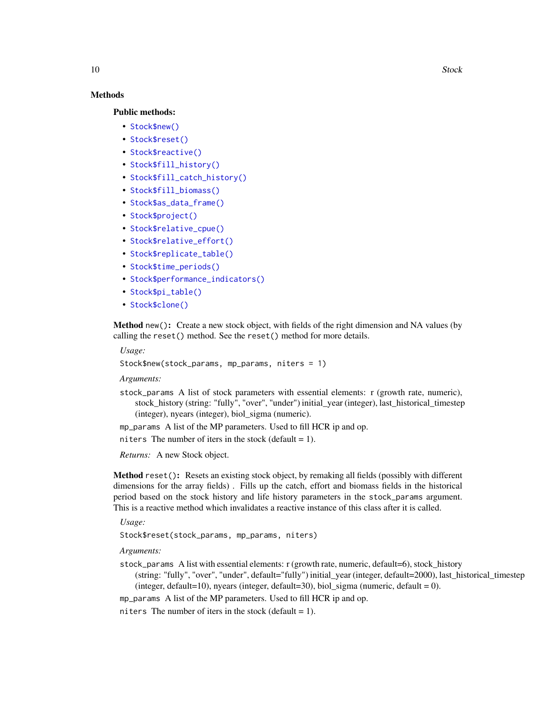10 Stock Stock Stock Stock Stock Stock Stock Stock Stock Stock Stock Stock Stock Stock Stock Stock Stock Stock

#### Methods

Public methods:

- [Stock\\$new\(\)](#page-9-0)
- [Stock\\$reset\(\)](#page-9-1)
- [Stock\\$reactive\(\)](#page-10-0)
- [Stock\\$fill\\_history\(\)](#page-10-1)
- [Stock\\$fill\\_catch\\_history\(\)](#page-10-2)
- [Stock\\$fill\\_biomass\(\)](#page-10-3)
- [Stock\\$as\\_data\\_frame\(\)](#page-10-4)
- [Stock\\$project\(\)](#page-10-5)
- [Stock\\$relative\\_cpue\(\)](#page-11-0)
- [Stock\\$relative\\_effort\(\)](#page-11-1)
- [Stock\\$replicate\\_table\(\)](#page-11-2)
- [Stock\\$time\\_periods\(\)](#page-11-3)
- [Stock\\$performance\\_indicators\(\)](#page-11-4)
- [Stock\\$pi\\_table\(\)](#page-11-5)
- [Stock\\$clone\(\)](#page-12-1)

<span id="page-9-0"></span>Method new(): Create a new stock object, with fields of the right dimension and NA values (by calling the reset() method. See the reset() method for more details.

*Usage:*

```
Stock$new(stock_params, mp_params, niters = 1)
```
*Arguments:*

stock\_params A list of stock parameters with essential elements: r (growth rate, numeric), stock\_history (string: "fully", "over", "under") initial\_year (integer), last\_historical\_timestep (integer), nyears (integer), biol\_sigma (numeric).

mp\_params A list of the MP parameters. Used to fill HCR ip and op.

niters The number of iters in the stock (default  $= 1$ ).

*Returns:* A new Stock object.

<span id="page-9-1"></span>Method reset(): Resets an existing stock object, by remaking all fields (possibly with different dimensions for the array fields) . Fills up the catch, effort and biomass fields in the historical period based on the stock history and life history parameters in the stock\_params argument. This is a reactive method which invalidates a reactive instance of this class after it is called.

*Usage:*

Stock\$reset(stock\_params, mp\_params, niters)

*Arguments:*

- stock\_params A list with essential elements: r (growth rate, numeric, default=6), stock\_history
	- (string: "fully", "over", "under", default="fully") initial\_year (integer, default=2000), last\_historical\_timestep (integer, default=10), nyears (integer, default=30), biol\_sigma (numeric, default = 0).

mp\_params A list of the MP parameters. Used to fill HCR ip and op.

niters The number of iters in the stock (default  $= 1$ ).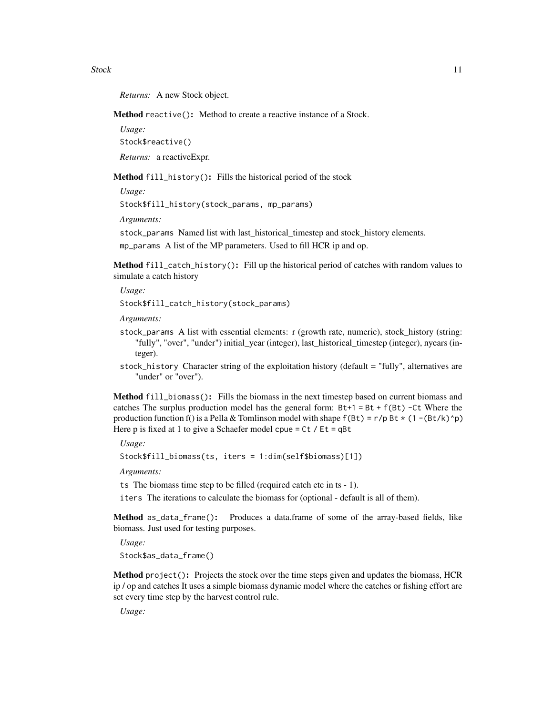Stock 11

*Returns:* A new Stock object.

<span id="page-10-0"></span>Method reactive(): Method to create a reactive instance of a Stock.

*Usage:*

Stock\$reactive()

*Returns:* a reactiveExpr.

<span id="page-10-1"></span>Method fill\_history(): Fills the historical period of the stock

*Usage:* Stock\$fill\_history(stock\_params, mp\_params)

*Arguments:*

stock\_params Named list with last\_historical\_timestep and stock\_history elements. mp\_params A list of the MP parameters. Used to fill HCR ip and op.

<span id="page-10-2"></span>Method fill\_catch\_history(): Fill up the historical period of catches with random values to simulate a catch history

*Usage:*

Stock\$fill\_catch\_history(stock\_params)

*Arguments:*

- stock\_params A list with essential elements: r (growth rate, numeric), stock\_history (string: "fully", "over", "under") initial\_year (integer), last\_historical\_timestep (integer), nyears (integer).
- stock\_history Character string of the exploitation history (default = "fully", alternatives are "under" or "over").

<span id="page-10-3"></span>Method fill\_biomass(): Fills the biomass in the next timestep based on current biomass and catches The surplus production model has the general form:  $Bt+1 = Bt + f(Bt) - Ct$  Where the production function f() is a Pella & Tomlinson model with shape  $f(Bt) = r/p Bt \star (1 - (Bt/k)^n p)$ Here p is fixed at 1 to give a Schaefer model cpue =  $Ct / Et = qBt$ 

*Usage:*

Stock\$fill\_biomass(ts, iters = 1:dim(self\$biomass)[1])

*Arguments:*

ts The biomass time step to be filled (required catch etc in ts - 1).

iters The iterations to calculate the biomass for (optional - default is all of them).

<span id="page-10-4"></span>Method as\_data\_frame(): Produces a data.frame of some of the array-based fields, like biomass. Just used for testing purposes.

*Usage:*

Stock\$as\_data\_frame()

<span id="page-10-5"></span>Method project(): Projects the stock over the time steps given and updates the biomass, HCR ip / op and catches It uses a simple biomass dynamic model where the catches or fishing effort are set every time step by the harvest control rule.

*Usage:*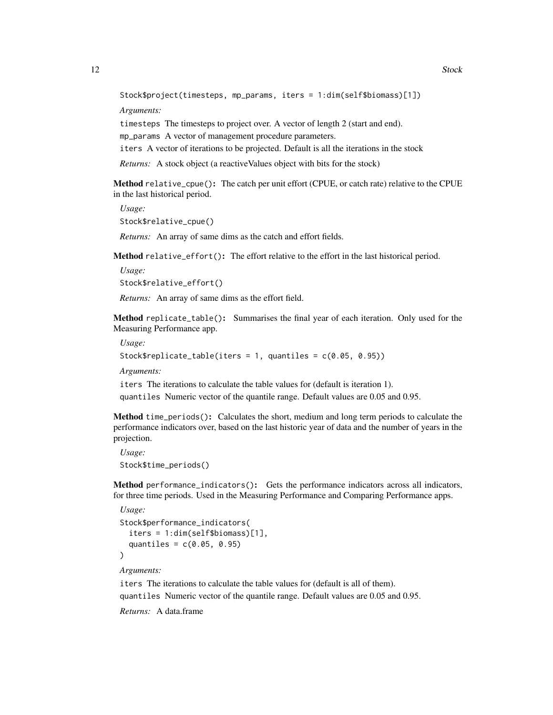Stock\$project(timesteps, mp\_params, iters = 1:dim(self\$biomass)[1])

*Arguments:*

timesteps The timesteps to project over. A vector of length 2 (start and end). mp\_params A vector of management procedure parameters.

iters A vector of iterations to be projected. Default is all the iterations in the stock

*Returns:* A stock object (a reactiveValues object with bits for the stock)

<span id="page-11-0"></span>Method relative\_cpue(): The catch per unit effort (CPUE, or catch rate) relative to the CPUE in the last historical period.

*Usage:* Stock\$relative\_cpue()

*Returns:* An array of same dims as the catch and effort fields.

<span id="page-11-1"></span>Method relative\_effort(): The effort relative to the effort in the last historical period.

*Usage:*

Stock\$relative\_effort()

*Returns:* An array of same dims as the effort field.

<span id="page-11-2"></span>Method replicate\_table(): Summarises the final year of each iteration. Only used for the Measuring Performance app.

*Usage:*

Stock\$replicate\_table(iters = 1, quantiles = c(0.05, 0.95))

*Arguments:*

iters The iterations to calculate the table values for (default is iteration 1).

quantiles Numeric vector of the quantile range. Default values are 0.05 and 0.95.

<span id="page-11-3"></span>Method time\_periods(): Calculates the short, medium and long term periods to calculate the performance indicators over, based on the last historic year of data and the number of years in the projection.

*Usage:* Stock\$time\_periods()

<span id="page-11-4"></span>Method performance\_indicators(): Gets the performance indicators across all indicators, for three time periods. Used in the Measuring Performance and Comparing Performance apps.

```
Usage:
Stock$performance_indicators(
  iters = 1:dim(self$biomass)[1],
  quantiles = c(0.05, 0.95))
```
*Arguments:*

iters The iterations to calculate the table values for (default is all of them).

quantiles Numeric vector of the quantile range. Default values are 0.05 and 0.95.

<span id="page-11-5"></span>*Returns:* A data.frame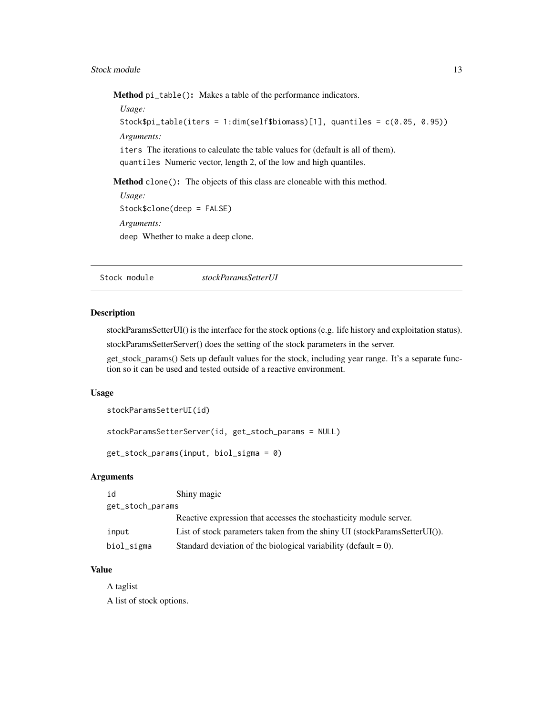#### <span id="page-12-0"></span>Stock module 13

Method pi\_table(): Makes a table of the performance indicators.

*Usage:* Stock\$pi\_table(iters = 1:dim(self\$biomass)[1], quantiles = c(0.05, 0.95)) *Arguments:* iters The iterations to calculate the table values for (default is all of them). quantiles Numeric vector, length 2, of the low and high quantiles.

<span id="page-12-1"></span>Method clone(): The objects of this class are cloneable with this method.

*Usage:* Stock\$clone(deep = FALSE) *Arguments:* deep Whether to make a deep clone.

Stock module *stockParamsSetterUI*

#### Description

stockParamsSetterUI() is the interface for the stock options (e.g. life history and exploitation status).

stockParamsSetterServer() does the setting of the stock parameters in the server.

get\_stock\_params() Sets up default values for the stock, including year range. It's a separate function so it can be used and tested outside of a reactive environment.

#### Usage

```
stockParamsSetterUI(id)
```
stockParamsSetterServer(id, get\_stoch\_params = NULL)

get\_stock\_params(input, biol\_sigma = 0)

#### Arguments

| id               | Shiny magic                                                                   |
|------------------|-------------------------------------------------------------------------------|
| get_stoch_params |                                                                               |
|                  | Reactive expression that accesses the stochasticity module server.            |
| input            | List of stock parameters taken from the shiny UI (stockParamsSetterUI $()$ ). |
| biol_sigma       | Standard deviation of the biological variability (default $= 0$ ).            |

#### Value

A taglist

A list of stock options.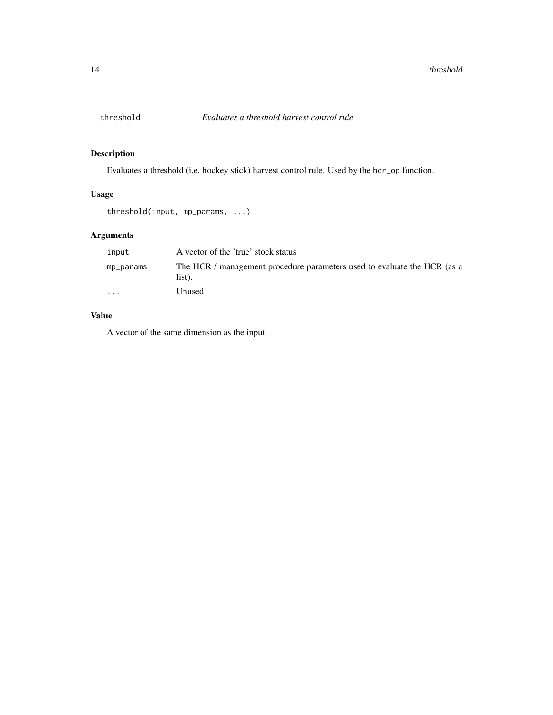<span id="page-13-0"></span>

Evaluates a threshold (i.e. hockey stick) harvest control rule. Used by the hcr\_op function.

#### Usage

```
threshold(input, mp_params, ...)
```
#### Arguments

| input     | A vector of the 'true' stock status                                                |
|-----------|------------------------------------------------------------------------------------|
| mp_params | The HCR / management procedure parameters used to evaluate the HCR (as a<br>list). |
| $\cdots$  | Unused                                                                             |

#### Value

A vector of the same dimension as the input.